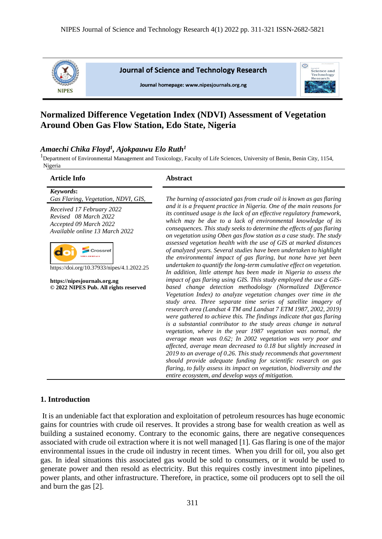

**Journal of Science and Technology Research** 

Journal homepage: www.nipesjournals.org.ng



# **Normalized Difference Vegetation Index (NDVI) Assessment of Vegetation Around Oben Gas Flow Station, Edo State, Nigeria**

# *Amaechi Chika Floyd<sup>1</sup> , Ajokpauwu Elo Ruth<sup>1</sup>*

<sup>1</sup>Department of Environmental Management and Toxicology, Faculty of Life Sciences, University of Benin, Benin City, 1154, Nigeria

| <b>Article Info</b>                                                                                                                                                                                                                                                                       | <b>Abstract</b>                                                                                                                                                                                                                                                                                                                                                                                                                                                                                                                                                                                                                                                                                                                                                                                                                                                                                                                                                                                                                                                                                                                                       |  |  |
|-------------------------------------------------------------------------------------------------------------------------------------------------------------------------------------------------------------------------------------------------------------------------------------------|-------------------------------------------------------------------------------------------------------------------------------------------------------------------------------------------------------------------------------------------------------------------------------------------------------------------------------------------------------------------------------------------------------------------------------------------------------------------------------------------------------------------------------------------------------------------------------------------------------------------------------------------------------------------------------------------------------------------------------------------------------------------------------------------------------------------------------------------------------------------------------------------------------------------------------------------------------------------------------------------------------------------------------------------------------------------------------------------------------------------------------------------------------|--|--|
| Keywords:<br>Gas Flaring, Vegetation, NDVI, GIS,<br>Received 17 February 2022<br>Revised 08 March 2022<br>Accepted 09 March 2022<br>Available online 13 March 2022<br>https://doi.org/10.37933/nipes/4.1.2022.25<br>https://nipesjournals.org.ng<br>© 2022 NIPES Pub. All rights reserved | The burning of associated gas from crude oil is known as gas flaring<br>and it is a frequent practice in Nigeria. One of the main reasons for<br>its continued usage is the lack of an effective regulatory framework,<br>which may be due to a lack of environmental knowledge of its<br>consequences. This study seeks to determine the effects of gas flaring<br>on vegetation using Oben gas flow station as a case study. The study<br>assessed vegetation health with the use of GIS at marked distances<br>of analyzed years. Several studies have been undertaken to highlight<br>the environmental impact of gas flaring, but none have yet been<br>undertaken to quantify the long-term cumulative effect on vegetation.<br>In addition, little attempt has been made in Nigeria to assess the<br>impact of gas flaring using GIS. This study employed the use a GIS-<br>based change detection methodology (Normalized Difference<br>Vegetation Index) to analyze vegetation changes over time in the<br>study area. Three separate time series of satellite imagery of<br>research area (Landsat 4 TM and Landsat 7 ETM 1987, 2002, 2019) |  |  |
|                                                                                                                                                                                                                                                                                           | were gathered to achieve this. The findings indicate that gas flaring<br>is a substantial contributor to the study areas change in natural<br>vegetation, where in the year 1987 vegetation was normal, the<br>average mean was 0.62; In 2002 vegetation was very poor and<br>affected, average mean decreased to 0.18 but slightly increased in<br>2019 to an average of 0.26. This study recommends that government<br>should provide adequate funding for scientific research on gas<br>flaring, to fully assess its impact on vegetation, biodiversity and the<br>entire ecosystem, and develop ways of mitigation.                                                                                                                                                                                                                                                                                                                                                                                                                                                                                                                               |  |  |

### **1. Introduction**

It is an undeniable fact that exploration and exploitation of petroleum resources has huge economic gains for countries with crude oil reserves. It provides a strong base for wealth creation as well as building a sustained economy. Contrary to the economic gains, there are negative consequences associated with crude oil extraction where it is not well managed [1]. Gas flaring is one of the major environmental issues in the crude oil industry in recent times. When you drill for oil, you also get gas. In ideal situations this associated gas would be sold to consumers, or it would be used to generate power and then resold as electricity. But this requires costly investment into pipelines, power plants, and other infrastructure. Therefore, in practice, some oil producers opt to sell the oil and burn the gas [2].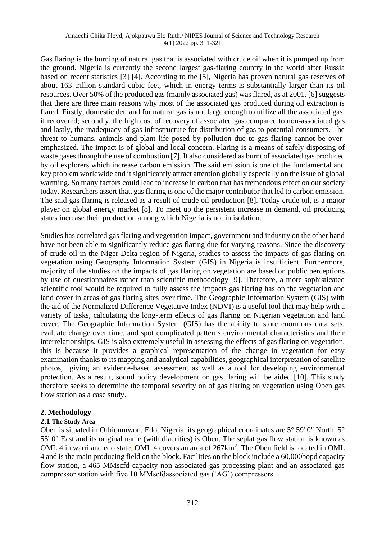Gas flaring is the burning of natural gas that is associated with crude oil when it is pumped up from the ground. Nigeria is currently the second largest gas-flaring country in the world after Russia based on recent statistics [3] [4]. According to the [5], Nigeria has proven natural gas reserves of about 163 trillion standard cubic feet, which in energy terms is substantially larger than its oil resources. Over 50% of the produced gas (mainly associated gas) was flared, as at 2001. [6] suggests that there are three main reasons why most of the associated gas produced during oil extraction is flared. Firstly, domestic demand for natural gas is not large enough to utilize all the associated gas, if recovered; secondly, the high cost of recovery of associated gas compared to non-associated gas and lastly, the inadequacy of gas infrastructure for distribution of gas to potential consumers. The threat to humans, animals and plant life posed by pollution due to gas flaring cannot be overemphasized. The impact is of global and local concern. Flaring is a means of safely disposing of waste gases through the use of combustion [7]. It also considered as burnt of associated gas produced by oil explorers which increase carbon emission. The said emission is one of the fundamental and key problem worldwide and it significantly attract attention globally especially on the issue of global warming. So many factors could lead to increase in carbon that has tremendous effect on our society today. Researchers assert that, gas flaring is one of the major contributor that led to carbon emission. The said gas flaring is released as a result of crude oil production [8]. Today crude oil, is a major player on global energy market [8]. To meet up the persistent increase in demand, oil producing states increase their production among which Nigeria is not in isolation.

Studies has correlated gas flaring and vegetation impact, government and industry on the other hand have not been able to significantly reduce gas flaring due for varying reasons. Since the discovery of crude oil in the Niger Delta region of Nigeria, studies to assess the impacts of gas flaring on vegetation using Geography Information System (GIS) in Nigeria is insufficient. Furthermore, majority of the studies on the impacts of gas flaring on vegetation are based on public perceptions by use of questionnaires rather than scientific methodology [9]. Therefore, a more sophisticated scientific tool would be required to fully assess the impacts gas flaring has on the vegetation and land cover in areas of gas flaring sites over time. The Geographic Information System (GIS) with the aid of the Normalized Difference Vegetative Index (NDVI) is a useful tool that may help with a variety of tasks, calculating the long-term effects of gas flaring on Nigerian vegetation and land cover. The Geographic Information System (GIS) has the ability to store enormous data sets, evaluate change over time, and spot complicated patterns environmental characteristics and their interrelationships. GIS is also extremely useful in assessing the effects of gas flaring on vegetation, this is because it provides a graphical representation of the change in vegetation for easy examination thanks to its mapping and analytical capabilities, geographical interpretation of satellite photos, giving an evidence-based assessment as well as a tool for developing environmental protection. As a result, sound policy development on gas flaring will be aided [10]. This study therefore seeks to determine the temporal severity on of gas flaring on vegetation using Oben gas flow station as a case study.

### **2. Methodology**

### **2.1 The Study Area**

Oben is situated in Orhionmwon, Edo, Nigeria, its geographical coordinates are 5° 59' 0" North, 5° 55' 0" East and its original name (with diacritics) is Oben. The seplat gas flow station is known as OML 4 in warri and edo state. OML 4 covers an area of  $267 \text{km}^2$ . The Oben field is located in OML 4 and is the main producing field on the block. Facilities on the block include a 60,000bopd capacity flow station, a 465 MMscfd capacity non-associated gas processing plant and an associated gas compressor station with five 10 MMscfdassociated gas ('AG') compressors.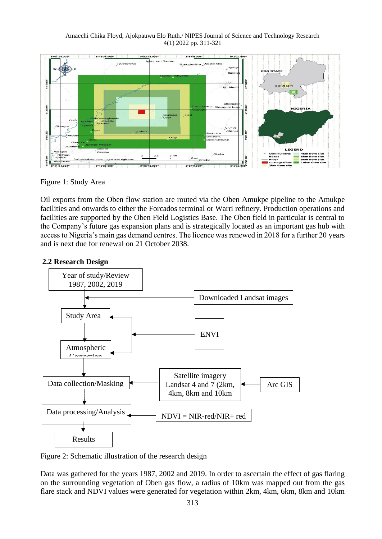Amaechi Chika Floyd, Ajokpauwu Elo Ruth./ NIPES Journal of Science and Technology Research 4(1) 2022 pp. 311-321



Figure 1: Study Area

Oil exports from the Oben flow station are routed via the Oben Amukpe pipeline to the Amukpe facilities and onwards to either the Forcados terminal or Warri refinery. Production operations and facilities are supported by the Oben Field Logistics Base. The Oben field in particular is central to the Company's future gas expansion plans and is strategically located as an important gas hub with access to Nigeria's main gas demand centres. The licence was renewed in 2018 for a further 20 years and is next due for renewal on 21 October 2038.

## **2.2 Research Design**



Figure 2: Schematic illustration of the research design

Data was gathered for the years 1987, 2002 and 2019. In order to ascertain the effect of gas flaring on the surrounding vegetation of Oben gas flow, a radius of 10km was mapped out from the gas flare stack and NDVI values were generated for vegetation within 2km, 4km, 6km, 8km and 10km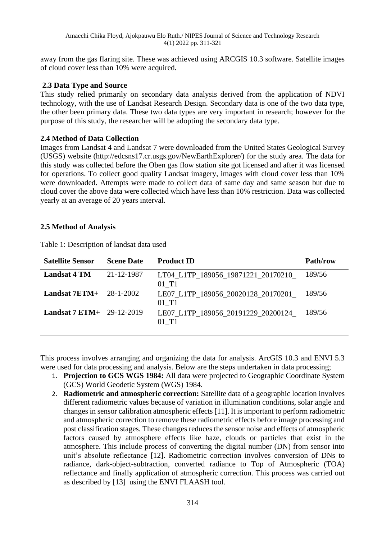away from the gas flaring site. These was achieved using ARCGIS 10.3 software. Satellite images of cloud cover less than 10% were acquired.

# **2.3 Data Type and Source**

This study relied primarily on secondary data analysis derived from the application of NDVI technology, with the use of Landsat Research Design. Secondary data is one of the two data type, the other been primary data. These two data types are very important in research; however for the purpose of this study, the researcher will be adopting the secondary data type.

## **2.4 Method of Data Collection**

Images from Landsat 4 and Landsat 7 were downloaded from the United States Geological Survey (USGS) website (http://edcsns17.cr.usgs.gov/NewEarthExplorer/) for the study area. The data for this study was collected before the Oben gas flow station site got licensed and after it was licensed for operations. To collect good quality Landsat imagery, images with cloud cover less than 10% were downloaded. Attempts were made to collect data of same day and same season but due to cloud cover the above data were collected which have less than 10% restriction. Data was collected yearly at an average of 20 years interval.

# **2.5 Method of Analysis**

| <b>Satellite Sensor</b>             | <b>Scene Date</b> | <b>Product ID</b>                            | Path/row |
|-------------------------------------|-------------------|----------------------------------------------|----------|
| <b>Landsat 4 TM</b>                 | 21-12-1987        | LT04 L1TP 189056 19871221 20170210<br>01 T1  | 189/56   |
| Landsat $7ETM+ 28-1-2002$           |                   | LE07_L1TP_189056_20020128_20170201_<br>01 T1 | 189/56   |
| <b>Landsat 7 ETM</b> + $29-12-2019$ |                   | LE07 L1TP 189056 20191229 20200124<br>01 T1  | 189/56   |

Table 1: Description of landsat data used

This process involves arranging and organizing the data for analysis. ArcGIS 10.3 and ENVI 5.3 were used for data processing and analysis. Below are the steps undertaken in data processing;

- 1. **Projection to GCS WGS 1984:** All data were projected to Geographic Coordinate System (GCS) World Geodetic System (WGS) 1984.
- 2. **Radiometric and atmospheric correction:** Satellite data of a geographic location involves different radiometric values because of variation in illumination conditions, solar angle and changes in sensor calibration atmospheric effects [11]. It is important to perform radiometric and atmospheric correction to remove these radiometric effects before image processing and post classification stages. These changes reduces the sensor noise and effects of atmospheric factors caused by atmosphere effects like haze, clouds or particles that exist in the atmosphere. This include process of converting the digital number (DN) from sensor into unit's absolute reflectance [12]. Radiometric correction involves conversion of DNs to radiance, dark-object-subtraction, converted radiance to Top of Atmospheric (TOA) reflectance and finally application of atmospheric correction. This process was carried out as described by [13] using the ENVI FLAASH tool.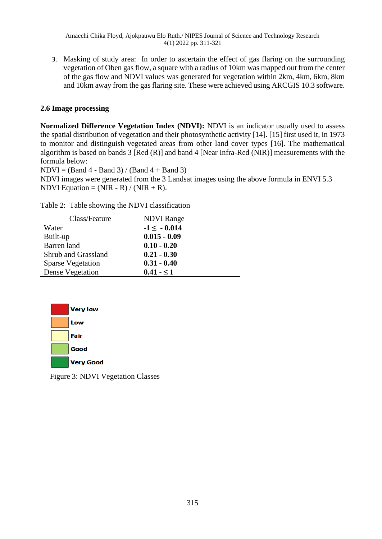3. Masking of study area: In order to ascertain the effect of gas flaring on the surrounding vegetation of Oben gas flow, a square with a radius of 10km was mapped out from the center of the gas flow and NDVI values was generated for vegetation within 2km, 4km, 6km, 8km and 10km away from the gas flaring site. These were achieved using ARCGIS 10.3 software.

# **2.6 Image processing**

**Normalized Difference Vegetation Index (NDVI):** NDVI is an indicator usually used to assess the spatial distribution of vegetation and their photosynthetic activity [14]. [15] first used it*,* in 1973 to monitor and distinguish vegetated areas from other land cover types [16]. The mathematical algorithm is based on bands 3 [Red (R)] and band 4 [Near Infra-Red (NIR)] measurements with the formula below:

 $NDVI = (Band 4 - Band 3) / (Band 4 + Band 3)$ 

NDVI images were generated from the 3 Landsat images using the above formula in ENVI 5.3 NDVI Equation =  $(NIR - R) / (NIR + R)$ .

Table 2: Table showing the NDVI classification

| Class/Feature            | <b>NDVI</b> Range |
|--------------------------|-------------------|
| Water                    | $-1 \le -0.014$   |
| Built-up                 | $0.015 - 0.09$    |
| Barren land              | $0.10 - 0.20$     |
| Shrub and Grassland      | $0.21 - 0.30$     |
| <b>Sparse Vegetation</b> | $0.31 - 0.40$     |
| Dense Vegetation         | $0.41 - 51$       |



Figure 3: NDVI Vegetation Classes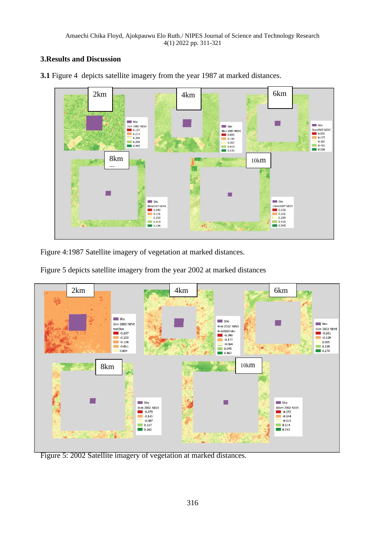# **3.Results and Discussion**



**3.1** Figure 4 depicts satellite imagery from the year 1987 at marked distances.

Figure 4:1987 Satellite imagery of vegetation at marked distances.

Figure 5 depicts satellite imagery from the year 2002 at marked distances



Figure 5: 2002 Satellite imagery of vegetation at marked distances.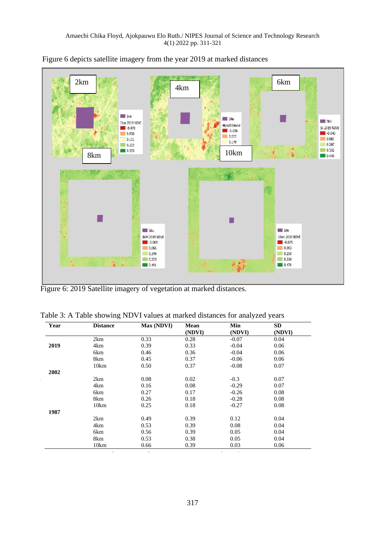

Figure 6 depicts satellite imagery from the year 2019 at marked distances

Figure 6: 2019 Satellite imagery of vegetation at marked distances.

Table 3: A Table showing NDVI values at marked distances for analyzed years

| Year | <b>Distance</b> | Max (NDVI) | Mean<br>(NDVI) | Min<br>(NDVI) | <b>SD</b><br>(NDVI) |
|------|-----------------|------------|----------------|---------------|---------------------|
|      | 2km             | 0.33       | 0.28           | $-0.07$       | 0.04                |
| 2019 | 4km             | 0.39       | 0.33           | $-0.04$       | 0.06                |
|      | 6km             | 0.46       | 0.36           | $-0.04$       | 0.06                |
|      | 8km             | 0.45       | 0.37           | $-0.06$       | 0.06                |
|      | 10km            | 0.50       | 0.37           | $-0.08$       | 0.07                |
| 2002 |                 |            |                |               |                     |
|      | 2km             | 0.08       | 0.02           | $-0.3$        | 0.07                |
|      | 4km             | 0.16       | 0.08           | $-0.29$       | 0.07                |
|      | 6km             | 0.27       | 0.17           | $-0.26$       | 0.08                |
|      | 8km             | 0.26       | 0.18           | $-0.28$       | 0.08                |
|      | 10km            | 0.25       | 0.18           | $-0.27$       | 0.08                |
| 1987 |                 |            |                |               |                     |
|      | 2km             | 0.49       | 0.39           | 0.12          | 0.04                |
|      | 4km             | 0.53       | 0.39           | 0.08          | 0.04                |
|      | 6km             | 0.56       | 0.39           | 0.05          | 0.04                |
|      | 8km             | 0.53       | 0.38           | 0.05          | 0.04                |
|      | 10km            | 0.66       | 0.39           | 0.03          | 0.06                |
|      |                 |            |                |               |                     |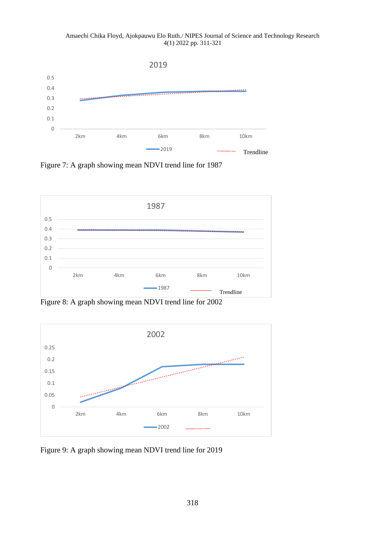Amaechi Chika Floyd, Ajokpauwu Elo Ruth./ NIPES Journal of Science and Technology Research 4(1) 2022 pp. 311-321



Figure 7: A graph showing mean NDVI trend line for 1987



Figure 8: A graph showing mean NDVI trend line for 2002



Figure 9: A graph showing mean NDVI trend line for 2019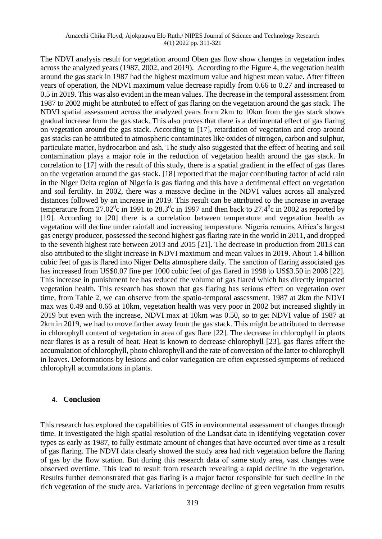The NDVI analysis result for vegetation around Oben gas flow show changes in vegetation index across the analyzed years (1987, 2002, and 2019). According to the Figure 4, the vegetation health around the gas stack in 1987 had the highest maximum value and highest mean value. After fifteen years of operation, the NDVI maximum value decrease rapidly from 0.66 to 0.27 and increased to 0.5 in 2019. This was also evident in the mean values. The decrease in the temporal assessment from 1987 to 2002 might be attributed to effect of gas flaring on the vegetation around the gas stack. The NDVI spatial assessment across the analyzed years from 2km to 10km from the gas stack shows gradual increase from the gas stack. This also proves that there is a detrimental effect of gas flaring on vegetation around the gas stack. According to [17], retardation of vegetation and crop around gas stacks can be attributed to atmospheric contaminates like oxides of nitrogen, carbon and sulphur, particulate matter, hydrocarbon and ash. The study also suggested that the effect of heating and soil contamination plays a major role in the reduction of vegetation health around the gas stack. In correlation to [17] with the result of this study, there is a spatial gradient in the effect of gas flares on the vegetation around the gas stack. [18] reported that the major contributing factor of acid rain in the Niger Delta region of Nigeria is gas flaring and this have a detrimental effect on vegetation and soil fertility. In 2002, there was a massive decline in the NDVI values across all analyzed distances followed by an increase in 2019. This result can be attributed to the increase in average temperature from 27.02<sup>0</sup>c in 1991 to 28.3<sup>0</sup>c in 1997 and then back to 27.4<sup>0</sup>c in 2002 as reported by [19]. According to [20] there is a correlation between temperature and vegetation health as vegetation will decline under rainfall and increasing temperature. Nigeria remains Africa's largest gas energy producer, possessed the second highest gas flaring rate in the world in 2011, and dropped to the seventh highest rate between 2013 and 2015 [21]. The decrease in production from 2013 can also attributed to the slight increase in NDVI maximum and mean values in 2019. About 1.4 billion cubic feet of gas is flared into Niger Delta atmosphere daily. The sanction of flaring associated gas has increased from US\$0.07 fine per 1000 cubic feet of gas flared in 1998 to US\$3.50 in 2008 [22]. This increase in punishment fee has reduced the volume of gas flared which has directly impacted vegetation health. This research has shown that gas flaring has serious effect on vegetation over time, from Table 2, we can observe from the spatio-temporal assessment, 1987 at 2km the NDVI max was 0.49 and 0.66 at 10km, vegetation health was very poor in 2002 but increased slightly in 2019 but even with the increase, NDVI max at 10km was 0.50, so to get NDVI value of 1987 at 2km in 2019, we had to move farther away from the gas stack. This might be attributed to decrease in chlorophyll content of vegetation in area of gas flare [22]. The decrease in chlorophyll in plants near flares is as a result of heat. Heat is known to decrease chlorophyll [23], gas flares affect the accumulation of chlorophyll, photo chlorophyll and the rate of conversion of the latter to chlorophyll in leaves. Deformations by lesions and color variegation are often expressed symptoms of reduced chlorophyll accumulations in plants.

#### 4. **Conclusion**

This research has explored the capabilities of GIS in environmental assessment of changes through time. It investigated the high spatial resolution of the Landsat data in identifying vegetation cover types as early as 1987, to fully estimate amount of changes that have occurred over time as a result of gas flaring. The NDVI data clearly showed the study area had rich vegetation before the flaring of gas by the flow station. But during this research data of same study area, vast changes were observed overtime. This lead to result from research revealing a rapid decline in the vegetation. Results further demonstrated that gas flaring is a major factor responsible for such decline in the rich vegetation of the study area. Variations in percentage decline of green vegetation from results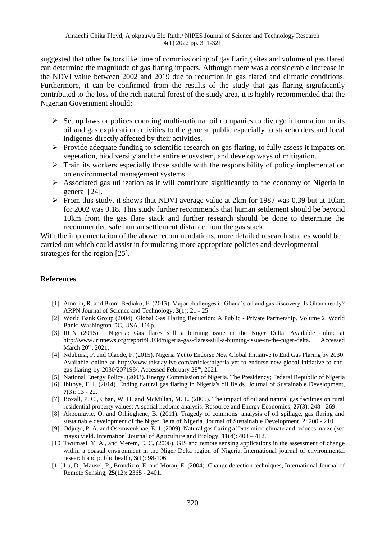suggested that other factors like time of commissioning of gas flaring sites and volume of gas flared can determine the magnitude of gas flaring impacts. Although there was a considerable increase in the NDVI value between 2002 and 2019 due to reduction in gas flared and climatic conditions. Furthermore, it can be confirmed from the results of the study that gas flaring significantly contributed to the loss of the rich natural forest of the study area, it is highly recommended that the Nigerian Government should:

- $\triangleright$  Set up laws or polices coercing multi-national oil companies to divulge information on its oil and gas exploration activities to the general public especially to stakeholders and local indigenes directly affected by their activities.
- $\triangleright$  Provide adequate funding to scientific research on gas flaring, to fully assess it impacts on vegetation, biodiversity and the entire ecosystem, and develop ways of mitigation.
- $\triangleright$  Train its workers especially those saddle with the responsibility of policy implementation on environmental management systems.
- ➢ Associated gas utilization as it will contribute significantly to the economy of Nigeria in general [24].
- ➢ From this study, it shows that NDVI average value at 2km for 1987 was 0.39 but at 10km for 2002 was 0.18. This study further recommends that human settlement should be beyond 10km from the gas flare stack and further research should be done to determine the recommended safe human settlement distance from the gas stack.

With the implementation of the above recommendations, more detailed research studies would be carried out which could assist in formulating more appropriate policies and developmental strategies for the region [25].

### **References**

- [1] Amorin, R. and Broni-Bediako, E. (2013). Major challenges in Ghana's oil and gas discovery: Is Ghana ready? ARPN Journal of Science and Technology, **3**(1): 21 - 25.
- [2] World Bank Group (2004). Global Gas Flaring Reduction: A Public Private Partnership. Volume 2. World Bank: Washington DC, USA. 116p.
- [3] IRIN (2015). Nigeria: Gas flares still a burning issue in the Niger Delta. Available online at http://www.irinnews.org/report/95034/nigeria-gas-flares-still-a-burning-issue-in-the-niger-delta. Accessed March 20<sup>th</sup>, 2021.
- [4] Ndubuisi, F. and Olaode, F. (2015). Nigeria Yet to Endorse New Global Initiative to End Gas Flaring by 2030. Available online at http://www.thisdaylive.com/articles/nigeria-yet-to-endorse-new-global-initiative-to-endgas-flaring-by-2030/207198/. Accessed February 28<sup>th</sup>, 2021.
- [5] National Energy Policy. (2003). Energy Commission of Nigeria. The Presidency; Federal Republic of Nigeria
- [6] Ibitoye, F. I. (2014). Ending natural gas flaring in Nigeria's oil fields. Journal of Sustainable Development, **7**(3): 13 - 22.
- [7] Boxall, P. C., Chan, W. H. and McMillan, M. L. (2005). The impact of oil and natural gas facilities on rural residential property values: A spatial hedonic analysis. Resource and Energy Economics, **27**(3): 248 - 269.
- [8] Akpomuvie, O. and Orhioghene, B. (2011). Tragedy of commons: analysis of oil spillage, gas flaring and sustainable development of the Niger Delta of Nigeria. Journal of Sustainable Development, **2**: 200 - 210.
- [9] Odjugo, P. A. and Osemwenkhae, E. J. (2009). Natural gas flaring affects microclimate and reduces maize (zea mays) yield. Internationl Journal of Agriculture and Biology, **11**(4): 408 – 412.
- [10]Twumasi, Y. A., and Merem, E. C. (2006). GIS and remote sensing applications in the assessment of change within a coastal environment in the Niger Delta region of Nigeria. International journal of environmental research and public health, **3**(1): 98-106.
- [11]Lu, D., Mausel, P., Brondizio, E. and Moran, E. (2004). Change detection techniques, International Journal of Remote Sensing, **25**(12): 2365 - 2401.